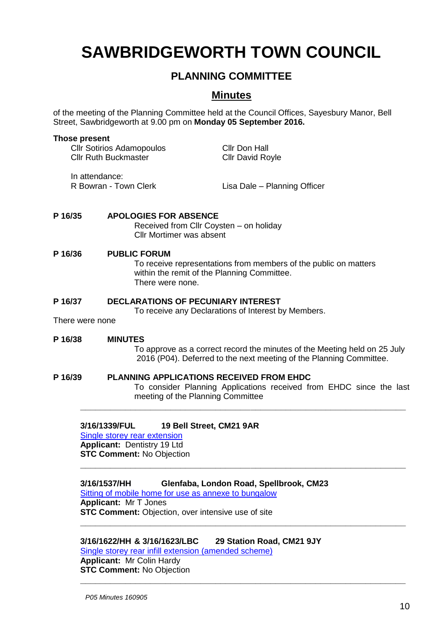# **SAWBRIDGEWORTH TOWN COUNCIL**

# **PLANNING COMMITTEE**

# **Minutes**

of the meeting of the Planning Committee held at the Council Offices, Sayesbury Manor, Bell Street, Sawbridgeworth at 9.00 pm on **Monday 05 September 2016.**

#### **Those present**

Cllr Sotirios Adamopoulos Cllr Don Hall Cllr Ruth Buckmaster Cllr David Royle

In attendance:

R Bowran - Town Clerk Lisa Dale – Planning Officer

## **P 16/35 APOLOGIES FOR ABSENCE**

Received from Cllr Coysten – on holiday Cllr Mortimer was absent

## **P 16/36 PUBLIC FORUM**

To receive representations from members of the public on matters within the remit of the Planning Committee. There were none.

## **P 16/37 DECLARATIONS OF PECUNIARY INTEREST**

To receive any Declarations of Interest by Members.

There were none

## **P 16/38 MINUTES**

To approve as a correct record the minutes of the Meeting held on 25 July 2016 (P04). Deferred to the next meeting of the Planning Committee.

**P 16/39 PLANNING APPLICATIONS RECEIVED FROM EHDC** To consider Planning Applications received from EHDC since the last meeting of the Planning Committee

**\_\_\_\_\_\_\_\_\_\_\_\_\_\_\_\_\_\_\_\_\_\_\_\_\_\_\_\_\_\_\_\_\_\_\_\_\_\_\_\_\_\_\_\_\_\_\_\_\_\_\_\_\_\_\_\_\_\_\_\_\_\_\_\_\_**

**\_\_\_\_\_\_\_\_\_\_\_\_\_\_\_\_\_\_\_\_\_\_\_\_\_\_\_\_\_\_\_\_\_\_\_\_\_\_\_\_\_\_\_\_\_\_\_\_\_\_\_\_\_\_\_\_\_\_\_\_\_\_\_\_\_**

**\_\_\_\_\_\_\_\_\_\_\_\_\_\_\_\_\_\_\_\_\_\_\_\_\_\_\_\_\_\_\_\_\_\_\_\_\_\_\_\_\_\_\_\_\_\_\_\_\_\_\_\_\_\_\_\_\_\_\_\_\_\_\_\_\_**

**\_\_\_\_\_\_\_\_\_\_\_\_\_\_\_\_\_\_\_\_\_\_\_\_\_\_\_\_\_\_\_\_\_\_\_\_\_\_\_\_\_\_\_\_\_\_\_\_\_\_\_\_\_\_\_\_\_\_\_\_\_\_\_\_\_**

## **3/16/1339/FUL 19 Bell Street, CM21 9AR**

[Single storey rear extension](https://publicaccess.eastherts.gov.uk/online-applications/applicationDetails.do?activeTab=summary&keyVal=O8I3YVGLK8G00) **Applicant:** Dentistry 19 Ltd **STC Comment:** No Objection

## **3/16/1537/HH Glenfaba, London Road, Spellbrook, CM23**

[Sitting of mobile home for use as annexe to bungalow](https://publicaccess.eastherts.gov.uk/online-applications/applicationDetails.do?activeTab=summary&keyVal=O9U46HGL00X00) **Applicant:** Mr T Jones **STC Comment:** Objection, over intensive use of site

# **3/16/1622/HH & 3/16/1623/LBC 29 Station Road, CM21 9JY**

[Single storey rear infill extension \(amended scheme\)](https://publicaccess.eastherts.gov.uk/online-applications/applicationDetails.do?activeTab=summary&keyVal=OACUZ8GL00B00) **Applicant:** Mr Colin Hardy **STC Comment:** No Objection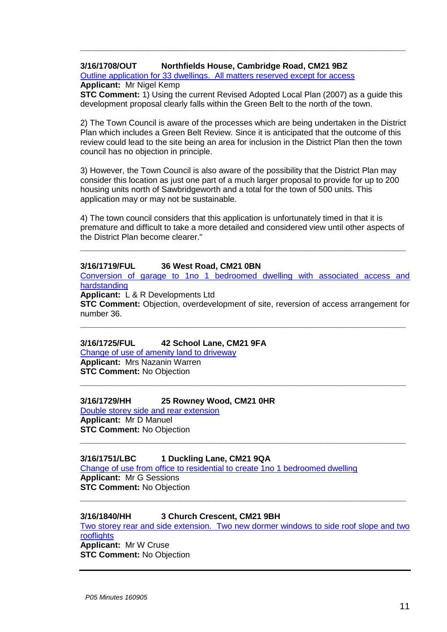## **3/16/1708/OUT Northfields House, Cambridge Road, CM21 9BZ**

[Outline application for 33 dwellings. All matters reserved except for access](https://publicaccess.eastherts.gov.uk/online-applications/applicationDetails.do?activeTab=summary&keyVal=OAYZZOGLKUK00) **Applicant:** Mr Nigel Kemp

**STC Comment:** 1) Using the current Revised Adopted Local Plan (2007) as a guide this development proposal clearly falls within the Green Belt to the north of the town.

**\_\_\_\_\_\_\_\_\_\_\_\_\_\_\_\_\_\_\_\_\_\_\_\_\_\_\_\_\_\_\_\_\_\_\_\_\_\_\_\_\_\_\_\_\_\_\_\_\_\_\_\_\_\_\_\_\_\_\_\_\_\_\_\_\_**

2) The Town Council is aware of the processes which are being undertaken in the District Plan which includes a Green Belt Review. Since it is anticipated that the outcome of this review could lead to the site being an area for inclusion in the District Plan then the town council has no objection in principle.

3) However, the Town Council is also aware of the possibility that the District Plan may consider this location as just one part of a much larger proposal to provide for up to 200 housing units north of Sawbridgeworth and a total for the town of 500 units. This application may or may not be sustainable.

4) The town council considers that this application is unfortunately timed in that it is premature and difficult to take a more detailed and considered view until other aspects of the District Plan become clearer."

**\_\_\_\_\_\_\_\_\_\_\_\_\_\_\_\_\_\_\_\_\_\_\_\_\_\_\_\_\_\_\_\_\_\_\_\_\_\_\_\_\_\_\_\_\_\_\_\_\_\_\_\_\_\_\_\_\_\_\_\_\_\_\_\_\_**

#### **3/16/1719/FUL 36 West Road, CM21 0BN**

[Conversion of garage to 1no 1 bedroomed dwelling with associated access and](https://publicaccess.eastherts.gov.uk/online-applications/applicationDetails.do?activeTab=summary&keyVal=OB0O9UGL00X00)  [hardstanding](https://publicaccess.eastherts.gov.uk/online-applications/applicationDetails.do?activeTab=summary&keyVal=OB0O9UGL00X00)

**Applicant:** L & R Developments Ltd

**STC Comment:** Objection, overdevelopment of site, reversion of access arrangement for number 36.

**\_\_\_\_\_\_\_\_\_\_\_\_\_\_\_\_\_\_\_\_\_\_\_\_\_\_\_\_\_\_\_\_\_\_\_\_\_\_\_\_\_\_\_\_\_\_\_\_\_\_\_\_\_\_\_\_\_\_\_\_\_\_\_\_\_**

**\_\_\_\_\_\_\_\_\_\_\_\_\_\_\_\_\_\_\_\_\_\_\_\_\_\_\_\_\_\_\_\_\_\_\_\_\_\_\_\_\_\_\_\_\_\_\_\_\_\_\_\_\_\_\_\_\_\_\_\_\_\_\_\_\_**

**\_\_\_\_\_\_\_\_\_\_\_\_\_\_\_\_\_\_\_\_\_\_\_\_\_\_\_\_\_\_\_\_\_\_\_\_\_\_\_\_\_\_\_\_\_\_\_\_\_\_\_\_\_\_\_\_\_\_\_\_\_\_\_\_\_**

#### **3/16/1725/FUL 42 School Lane, CM21 9FA**

[Change of use of amenity land to driveway](https://publicaccess.eastherts.gov.uk/online-applications/applicationDetails.do?activeTab=summary&keyVal=OB0UNYGLKV900) **Applicant:** Mrs Nazanin Warren **STC Comment:** No Objection

## **3/16/1729/HH 25 Rowney Wood, CM21 0HR**

[Double storey side and rear extension](https://publicaccess.eastherts.gov.uk/online-applications/applicationDetails.do?activeTab=summary&keyVal=OB0WGCGL00X00) **Applicant:** Mr D Manuel **STC Comment:** No Objection

## **3/16/1751/LBC 1 Duckling Lane, CM21 9QA**

[Change of use from office to residential to create 1no 1 bedroomed dwelling](https://publicaccess.eastherts.gov.uk/online-applications/applicationDetails.do?activeTab=summary&keyVal=OB85AOGL00X00) **Applicant:** Mr G Sessions **STC Comment:** No Objection

#### **3/16/1840/HH 3 Church Crescent, CM21 9BH**

[Two storey rear and side extension. Two new dormer windows to side roof slope and two](https://publicaccess.eastherts.gov.uk/online-applications/applicationDetails.do?activeTab=summary&keyVal=OBOX9XGLL1A00)  [rooflights](https://publicaccess.eastherts.gov.uk/online-applications/applicationDetails.do?activeTab=summary&keyVal=OBOX9XGLL1A00) **Applicant:** Mr W Cruse **STC Comment:** No Objection

**\_\_\_\_\_\_\_\_\_\_\_\_\_\_\_\_\_\_\_\_\_\_\_\_\_\_\_\_\_\_\_\_\_\_\_\_\_\_\_\_\_\_\_\_\_\_\_\_\_\_\_\_\_\_\_\_\_\_\_\_\_\_\_\_\_**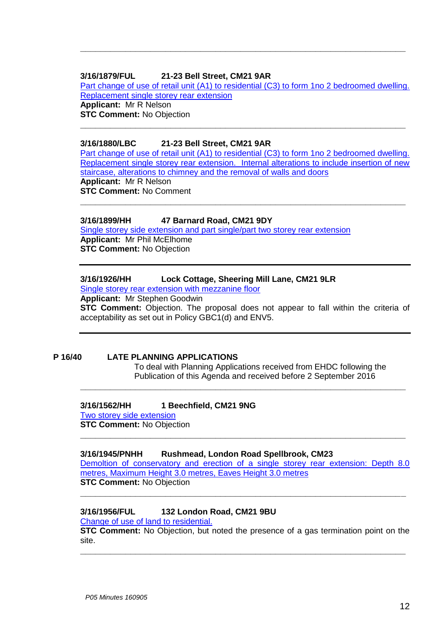## **3/16/1879/FUL 21-23 Bell Street, CM21 9AR**

[Part change of use of retail unit \(A1\) to residential \(C3\) to form 1no 2 bedroomed dwelling.](https://publicaccess.eastherts.gov.uk/online-applications/applicationDetails.do?activeTab=summary&keyVal=OC1KUNGLL3B00)  [Replacement single storey rear extension](https://publicaccess.eastherts.gov.uk/online-applications/applicationDetails.do?activeTab=summary&keyVal=OC1KUNGLL3B00) **Applicant:** Mr R Nelson **STC Comment:** No Objection **\_\_\_\_\_\_\_\_\_\_\_\_\_\_\_\_\_\_\_\_\_\_\_\_\_\_\_\_\_\_\_\_\_\_\_\_\_\_\_\_\_\_\_\_\_\_\_\_\_\_\_\_\_\_\_\_\_\_\_\_\_\_\_\_\_**

**\_\_\_\_\_\_\_\_\_\_\_\_\_\_\_\_\_\_\_\_\_\_\_\_\_\_\_\_\_\_\_\_\_\_\_\_\_\_\_\_\_\_\_\_\_\_\_\_\_\_\_\_\_\_\_\_\_\_\_\_\_\_\_\_\_**

## **3/16/1880/LBC 21-23 Bell Street, CM21 9AR**

[Part change of use of retail unit \(A1\) to residential \(C3\) to form 1no 2 bedroomed dwelling.](https://publicaccess.eastherts.gov.uk/online-applications/applicationDetails.do?activeTab=summary&keyVal=OC1KUPGLL3C00)  [Replacement single storey rear extension. Internal alterations to include insertion of new](https://publicaccess.eastherts.gov.uk/online-applications/applicationDetails.do?activeTab=summary&keyVal=OC1KUPGLL3C00)  [staircase, alterations to chimney and the removal of walls and doors](https://publicaccess.eastherts.gov.uk/online-applications/applicationDetails.do?activeTab=summary&keyVal=OC1KUPGLL3C00) **Applicant:** Mr R Nelson **STC Comment:** No Comment

**\_\_\_\_\_\_\_\_\_\_\_\_\_\_\_\_\_\_\_\_\_\_\_\_\_\_\_\_\_\_\_\_\_\_\_\_\_\_\_\_\_\_\_\_\_\_\_\_\_\_\_\_\_\_\_\_\_\_\_\_\_\_\_\_\_**

## **3/16/1899/HH 47 Barnard Road, CM21 9DY**

[Single storey side extension and part single/part two storey rear extension](https://publicaccess.eastherts.gov.uk/online-applications/applicationDetails.do?activeTab=summary&keyVal=OC5LAUGLL4G00) **Applicant:** Mr Phil McElhome **STC Comment:** No Objection

## **3/16/1926/HH Lock Cottage, Sheering Mill Lane, CM21 9LR**

[Single storey rear extension with mezzanine floor](https://publicaccess.eastherts.gov.uk/online-applications/applicationDetails.do?activeTab=summary&keyVal=OCCZZPGLL6400)

**Applicant:** Mr Stephen Goodwin

**STC Comment:** Objection. The proposal does not appear to fall within the criteria of acceptability as set out in Policy GBC1(d) and ENV5.

**\_\_\_\_\_\_\_\_\_\_\_\_\_\_\_\_\_\_\_\_\_\_\_\_\_\_\_\_\_\_\_\_\_\_\_\_\_\_\_\_\_\_\_\_\_\_\_\_\_\_\_\_\_\_\_\_\_\_\_\_\_\_\_\_\_**

**\_\_\_\_\_\_\_\_\_\_\_\_\_\_\_\_\_\_\_\_\_\_\_\_\_\_\_\_\_\_\_\_\_\_\_\_\_\_\_\_\_\_\_\_\_\_\_\_\_\_\_\_\_\_\_\_\_\_\_\_\_\_\_\_\_**

#### **P 16/40 LATE PLANNING APPLICATIONS**

To deal with Planning Applications received from EHDC following the Publication of this Agenda and received before 2 September 2016

## **3/16/1562/HH 1 Beechfield, CM21 9NG**

Two storey side extension **STC Comment: No Objection** 

#### **3/16/1945/PNHH Rushmead, London Road Spellbrook, CM23**

Demoltion of conservatory and erection of a single storey rear extension: Depth 8.0 [metres, Maximum Height 3.0 metres, Eaves Height 3.0 metre](https://publicaccess.eastherts.gov.uk/online-applications/applicationDetails.do?activeTab=summary&keyVal=OCIGN5GL00B00)s **STC Comment:** No Objection

**\_\_\_\_\_\_\_\_\_\_\_\_\_\_\_\_\_\_\_\_\_\_\_\_\_\_\_\_\_\_\_\_\_\_\_\_\_\_\_\_\_\_\_\_\_\_\_\_\_\_\_\_\_\_\_\_\_\_\_\_\_\_\_\_\_**

## **3/16/1956/FUL 132 London Road, CM21 9BU**

Change of use of land to residential.

**STC Comment:** No Objection, but noted the presence of a gas termination point on the site.

**\_\_\_\_\_\_\_\_\_\_\_\_\_\_\_\_\_\_\_\_\_\_\_\_\_\_\_\_\_\_\_\_\_\_\_\_\_\_\_\_\_\_\_\_\_\_\_\_\_\_\_\_\_\_\_\_\_\_\_\_\_\_\_\_\_**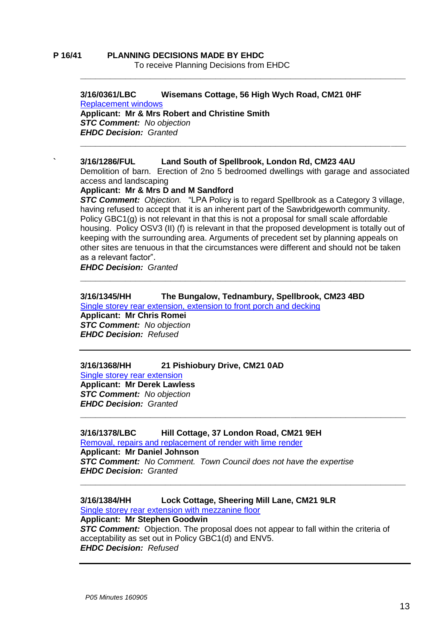#### **P 16/41 PLANNING DECISIONS MADE BY EHDC** To receive Planning Decisions from EHDC

# **3/16/0361/LBC Wisemans Cottage, 56 High Wych Road, CM21 0HF**

[Replacement windows](https://publicaccess.eastherts.gov.uk/online-applications/applicationDetails.do?activeTab=summary&keyVal=O2LJ79GLIO200) **Applicant: Mr & Mrs Robert and Christine Smith**  *STC Comment: No objection EHDC Decision: Granted* **\_\_\_\_\_\_\_\_\_\_\_\_\_\_\_\_\_\_\_\_\_\_\_\_\_\_\_\_\_\_\_\_\_\_\_\_\_\_\_\_\_\_\_\_\_\_\_\_\_\_\_\_\_\_\_\_\_\_\_\_\_\_\_\_\_**

#### **` 3/16/1286/FUL Land South of Spellbrook, London Rd, CM23 4AU**

Demolition of barn. Erection of 2no 5 bedroomed dwellings with garage and associated access and landscaping

**\_\_\_\_\_\_\_\_\_\_\_\_\_\_\_\_\_\_\_\_\_\_\_\_\_\_\_\_\_\_\_\_\_\_\_\_\_\_\_\_\_\_\_\_\_\_\_\_\_\_\_\_\_\_\_\_\_\_\_\_\_\_\_\_\_**

**Applicant: Mr & Mrs D and M Sandford**

*STC Comment: Objection.* "LPA Policy is to regard Spellbrook as a Category 3 village, having refused to accept that it is an inherent part of the Sawbridgeworth community. Policy  $GBC1(q)$  is not relevant in that this is not a proposal for small scale affordable housing. Policy OSV3 (II) (f) is relevant in that the proposed development is totally out of keeping with the surrounding area. Arguments of precedent set by planning appeals on other sites are tenuous in that the circumstances were different and should not be taken as a relevant factor".

**\_\_\_\_\_\_\_\_\_\_\_\_\_\_\_\_\_\_\_\_\_\_\_\_\_\_\_\_\_\_\_\_\_\_\_\_\_\_\_\_\_\_\_\_\_\_\_\_\_\_\_\_\_\_\_\_\_\_\_\_\_\_\_\_\_**

**\_\_\_\_\_\_\_\_\_\_\_\_\_\_\_\_\_\_\_\_\_\_\_\_\_\_\_\_\_\_\_\_\_\_\_\_\_\_\_\_\_\_\_\_\_\_\_\_\_\_\_\_\_\_\_\_\_\_\_\_\_\_\_\_\_**

**\_\_\_\_\_\_\_\_\_\_\_\_\_\_\_\_\_\_\_\_\_\_\_\_\_\_\_\_\_\_\_\_\_\_\_\_\_\_\_\_\_\_\_\_\_\_\_\_\_\_\_\_\_\_\_\_\_\_\_\_\_\_\_\_\_**

*EHDC Decision: Granted*

# **3/16/1345/HH The Bungalow, Tednambury, Spellbrook, CM23 4BD**

[Single storey rear extension, extension to front porch and decking](https://publicaccess.eastherts.gov.uk/online-applications/applicationDetails.do?activeTab=summary&keyVal=O8IF4EGLK8T00) **Applicant: Mr Chris Romei** *STC Comment: No objection*

*EHDC Decision: Refused*

# **3/16/1368/HH 21 Pishiobury Drive, CM21 0AD**

[Single storey rear extension](https://publicaccess.eastherts.gov.uk/online-applications/applicationDetails.do?activeTab=summary&keyVal=O8P87JGL00B00) **Applicant: Mr Derek Lawless**  *STC Comment: No objection EHDC Decision: Granted*

**3/16/1378/LBC Hill Cottage, 37 London Road, CM21 9EH** [Removal, repairs and replacement of render with lime render](https://publicaccess.eastherts.gov.uk/online-applications/applicationDetails.do?activeTab=summary&keyVal=O8R24QGLKAX00) **Applicant: Mr Daniel Johnson** *STC Comment: No Comment. Town Council does not have the expertise EHDC Decision: Granted*

#### **3/16/1384/HH Lock Cottage, Sheering Mill Lane, CM21 9LR** [Single storey rear extension with mezzanine floor](https://publicaccess.eastherts.gov.uk/online-applications/applicationDetails.do?activeTab=summary&keyVal=O8RDA0GLKBE00)

# **Applicant: Mr Stephen Goodwin**

**STC Comment:** Objection. The proposal does not appear to fall within the criteria of acceptability as set out in Policy GBC1(d) and ENV5. *EHDC Decision: Refused*